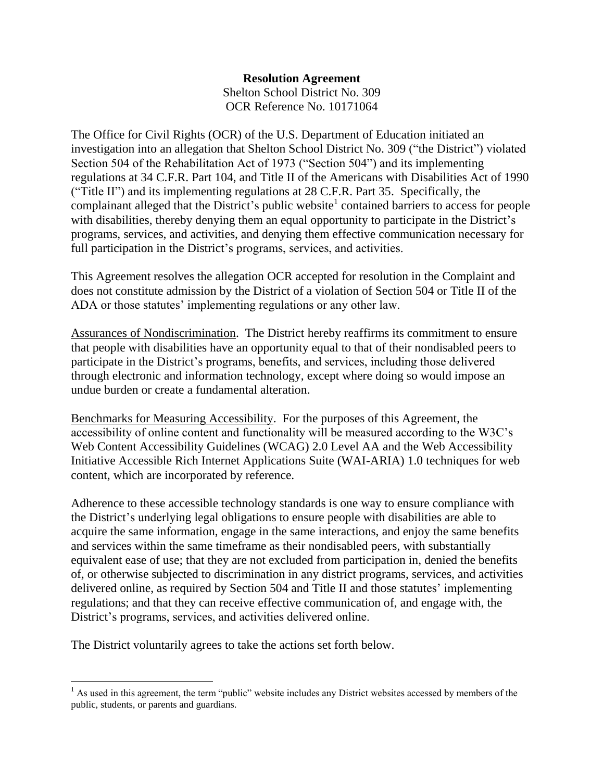### **Resolution Agreement** Shelton School District No. 309 OCR Reference No. 10171064

The Office for Civil Rights (OCR) of the U.S. Department of Education initiated an investigation into an allegation that Shelton School District No. 309 ("the District") violated Section 504 of the Rehabilitation Act of 1973 ("Section 504") and its implementing regulations at 34 C.F.R. Part 104, and Title II of the Americans with Disabilities Act of 1990 ("Title II") and its implementing regulations at 28 C.F.R. Part 35. Specifically, the complainant alleged that the District's public website<sup>1</sup> contained barriers to access for people with disabilities, thereby denying them an equal opportunity to participate in the District's programs, services, and activities, and denying them effective communication necessary for full participation in the District's programs, services, and activities.

This Agreement resolves the allegation OCR accepted for resolution in the Complaint and does not constitute admission by the District of a violation of Section 504 or Title II of the ADA or those statutes' implementing regulations or any other law.

Assurances of Nondiscrimination. The District hereby reaffirms its commitment to ensure that people with disabilities have an opportunity equal to that of their nondisabled peers to participate in the District's programs, benefits, and services, including those delivered through electronic and information technology, except where doing so would impose an undue burden or create a fundamental alteration.

Benchmarks for Measuring Accessibility. For the purposes of this Agreement, the accessibility of online content and functionality will be measured according to the W3C's Web Content Accessibility Guidelines (WCAG) 2.0 Level AA and the Web Accessibility Initiative Accessible Rich Internet Applications Suite (WAI-ARIA) 1.0 techniques for web content, which are incorporated by reference.

Adherence to these accessible technology standards is one way to ensure compliance with the District's underlying legal obligations to ensure people with disabilities are able to acquire the same information, engage in the same interactions, and enjoy the same benefits and services within the same timeframe as their nondisabled peers, with substantially equivalent ease of use; that they are not excluded from participation in, denied the benefits of, or otherwise subjected to discrimination in any district programs, services, and activities delivered online, as required by Section 504 and Title II and those statutes' implementing regulations; and that they can receive effective communication of, and engage with, the District's programs, services, and activities delivered online.

The District voluntarily agrees to take the actions set forth below.

  $<sup>1</sup>$  As used in this agreement, the term "public" website includes any District websites accessed by members of the</sup> public, students, or parents and guardians.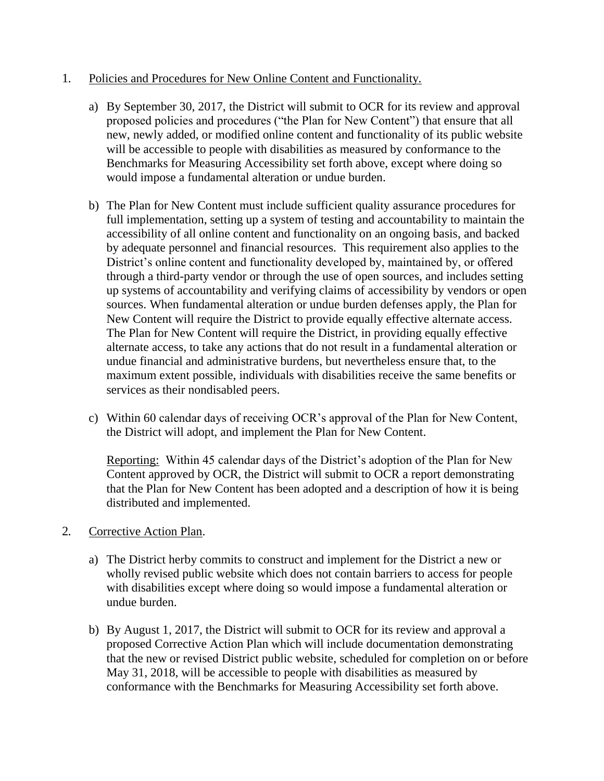#### 1. Policies and Procedures for New Online Content and Functionality*.*

- a) By September 30, 2017, the District will submit to OCR for its review and approval proposed policies and procedures ("the Plan for New Content") that ensure that all new, newly added, or modified online content and functionality of its public website will be accessible to people with disabilities as measured by conformance to the Benchmarks for Measuring Accessibility set forth above, except where doing so would impose a fundamental alteration or undue burden.
- b) The Plan for New Content must include sufficient quality assurance procedures for full implementation, setting up a system of testing and accountability to maintain the accessibility of all online content and functionality on an ongoing basis, and backed by adequate personnel and financial resources. This requirement also applies to the District's online content and functionality developed by, maintained by, or offered through a third-party vendor or through the use of open sources, and includes setting up systems of accountability and verifying claims of accessibility by vendors or open sources. When fundamental alteration or undue burden defenses apply, the Plan for New Content will require the District to provide equally effective alternate access. The Plan for New Content will require the District, in providing equally effective alternate access, to take any actions that do not result in a fundamental alteration or undue financial and administrative burdens, but nevertheless ensure that, to the maximum extent possible, individuals with disabilities receive the same benefits or services as their nondisabled peers.
- c) Within 60 calendar days of receiving OCR's approval of the Plan for New Content, the District will adopt, and implement the Plan for New Content.

Reporting: Within 45 calendar days of the District's adoption of the Plan for New Content approved by OCR, the District will submit to OCR a report demonstrating that the Plan for New Content has been adopted and a description of how it is being distributed and implemented.

### 2. Corrective Action Plan.

- a) The District herby commits to construct and implement for the District a new or wholly revised public website which does not contain barriers to access for people with disabilities except where doing so would impose a fundamental alteration or undue burden.
- b) By August 1, 2017, the District will submit to OCR for its review and approval a proposed Corrective Action Plan which will include documentation demonstrating that the new or revised District public website, scheduled for completion on or before May 31, 2018, will be accessible to people with disabilities as measured by conformance with the Benchmarks for Measuring Accessibility set forth above.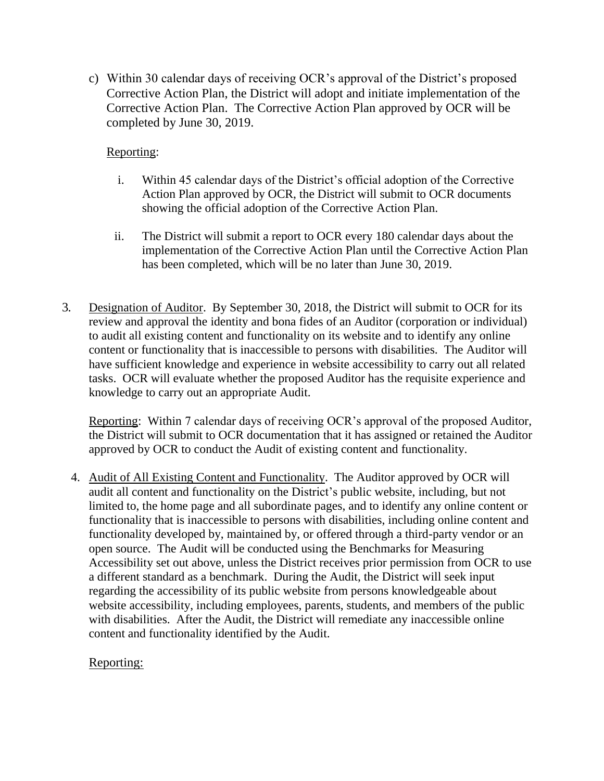c) Within 30 calendar days of receiving OCR's approval of the District's proposed Corrective Action Plan, the District will adopt and initiate implementation of the Corrective Action Plan. The Corrective Action Plan approved by OCR will be completed by June 30, 2019.

# Reporting:

- i. Within 45 calendar days of the District's official adoption of the Corrective Action Plan approved by OCR, the District will submit to OCR documents showing the official adoption of the Corrective Action Plan.
- ii. The District will submit a report to OCR every 180 calendar days about the implementation of the Corrective Action Plan until the Corrective Action Plan has been completed, which will be no later than June 30, 2019.
- 3. Designation of Auditor. By September 30, 2018, the District will submit to OCR for its review and approval the identity and bona fides of an Auditor (corporation or individual) to audit all existing content and functionality on its website and to identify any online content or functionality that is inaccessible to persons with disabilities. The Auditor will have sufficient knowledge and experience in website accessibility to carry out all related tasks. OCR will evaluate whether the proposed Auditor has the requisite experience and knowledge to carry out an appropriate Audit.

Reporting: Within 7 calendar days of receiving OCR's approval of the proposed Auditor, the District will submit to OCR documentation that it has assigned or retained the Auditor approved by OCR to conduct the Audit of existing content and functionality.

4. Audit of All Existing Content and Functionality. The Auditor approved by OCR will audit all content and functionality on the District's public website, including, but not limited to, the home page and all subordinate pages, and to identify any online content or functionality that is inaccessible to persons with disabilities, including online content and functionality developed by, maintained by, or offered through a third-party vendor or an open source. The Audit will be conducted using the Benchmarks for Measuring Accessibility set out above, unless the District receives prior permission from OCR to use a different standard as a benchmark. During the Audit, the District will seek input regarding the accessibility of its public website from persons knowledgeable about website accessibility, including employees, parents, students, and members of the public with disabilities. After the Audit, the District will remediate any inaccessible online content and functionality identified by the Audit.

## Reporting: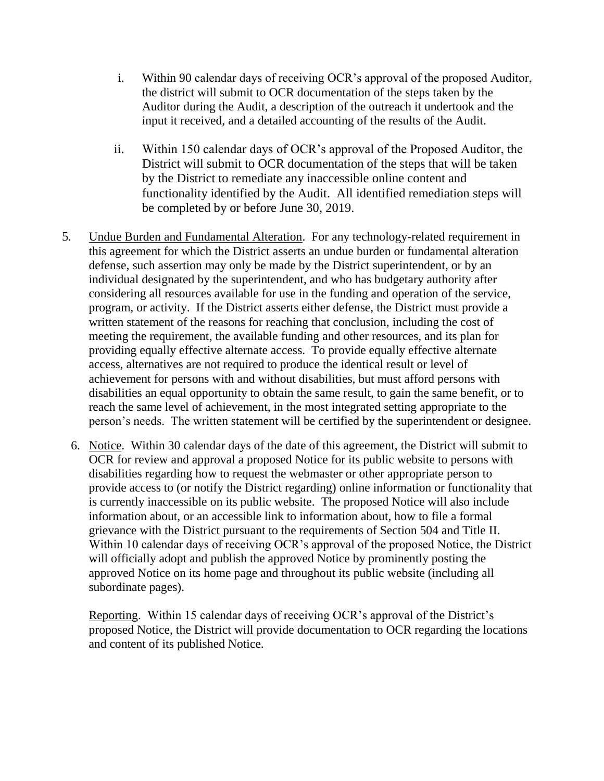- i. Within 90 calendar days of receiving OCR's approval of the proposed Auditor, the district will submit to OCR documentation of the steps taken by the Auditor during the Audit, a description of the outreach it undertook and the input it received, and a detailed accounting of the results of the Audit.
- ii. Within 150 calendar days of OCR's approval of the Proposed Auditor, the District will submit to OCR documentation of the steps that will be taken by the District to remediate any inaccessible online content and functionality identified by the Audit. All identified remediation steps will be completed by or before June 30, 2019.
- 5. Undue Burden and Fundamental Alteration. For any technology-related requirement in this agreement for which the District asserts an undue burden or fundamental alteration defense, such assertion may only be made by the District superintendent, or by an individual designated by the superintendent, and who has budgetary authority after considering all resources available for use in the funding and operation of the service, program, or activity. If the District asserts either defense, the District must provide a written statement of the reasons for reaching that conclusion, including the cost of meeting the requirement, the available funding and other resources, and its plan for providing equally effective alternate access. To provide equally effective alternate access, alternatives are not required to produce the identical result or level of achievement for persons with and without disabilities, but must afford persons with disabilities an equal opportunity to obtain the same result, to gain the same benefit, or to reach the same level of achievement, in the most integrated setting appropriate to the person's needs. The written statement will be certified by the superintendent or designee.
	- 6. Notice. Within 30 calendar days of the date of this agreement, the District will submit to OCR for review and approval a proposed Notice for its public website to persons with disabilities regarding how to request the webmaster or other appropriate person to provide access to (or notify the District regarding) online information or functionality that is currently inaccessible on its public website. The proposed Notice will also include information about, or an accessible link to information about, how to file a formal grievance with the District pursuant to the requirements of Section 504 and Title II. Within 10 calendar days of receiving OCR's approval of the proposed Notice, the District will officially adopt and publish the approved Notice by prominently posting the approved Notice on its home page and throughout its public website (including all subordinate pages).

Reporting. Within 15 calendar days of receiving OCR's approval of the District's proposed Notice, the District will provide documentation to OCR regarding the locations and content of its published Notice.